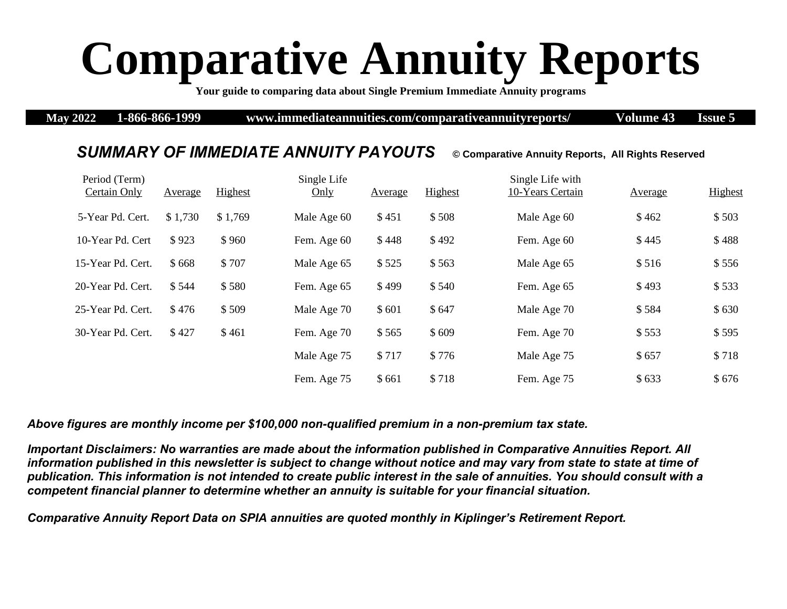## **Comparative Annuity Reports**

**Your guide to comparing data about Single Premium Immediate Annuity programs** 

**May 2022 1-866-866-1999 www.immediateannuities.com/comparativeannuityreports/ Volume 43 Issue 5**

## *SUMMARY OF IMMEDIATE ANNUITY PAYOUTS* **© Comparative Annuity Reports, All Rights Reserved**

## Period (Term) Certain Only Average Highest Single Life Only Average Highest Single Life with 10-Years Certain Average Highest 5-Year Pd. Cert. \$1,730 \$1,769 Male Age 60 \$451 \$508 Male Age 60 \$462 \$503 10-Year Pd. Cert \$923 \$960 Fem. Age 60 \$448 \$492 Fem. Age 60 \$445 \$488 15-Year Pd. Cert. \$ 668 \$ 707 Male Age 65 \$ 525 \$ 563 Male Age 65 \$ 516 \$ 556 20-Year Pd. Cert.  $$544$   $$580$  Fem. Age 65  $$499$   $$540$  Fem. Age 65  $$493$   $$533$ 25-Year Pd. Cert.  $$ 476 \t $509 \t Male Age 70 \t $601 \t $647 \t Male Age 70 \t $584 \t $630$ 30-Year Pd. Cert. \$ 427 \$ 461 Fem. Age 70 \$ 565 \$ 609 Fem. Age 70 \$ 553 \$ 595 Male Age 75 \$ 717 \$ 776 Male Age 75 \$ 657 \$ 718 Fem. Age 75 \$ 661 \$ 718 Fem. Age 75 \$ 633 \$ 676

*Above figures are monthly income per \$100,000 non-qualified premium in a non-premium tax state.* 

*Important Disclaimers: No warranties are made about the information published in Comparative Annuities Report. All information published in this newsletter is subject to change without notice and may vary from state to state at time of publication. This information is not intended to create public interest in the sale of annuities. You should consult with a competent financial planner to determine whether an annuity is suitable for your financial situation.* 

*Comparative Annuity Report Data on SPIA annuities are quoted monthly in Kiplinger's Retirement Report.*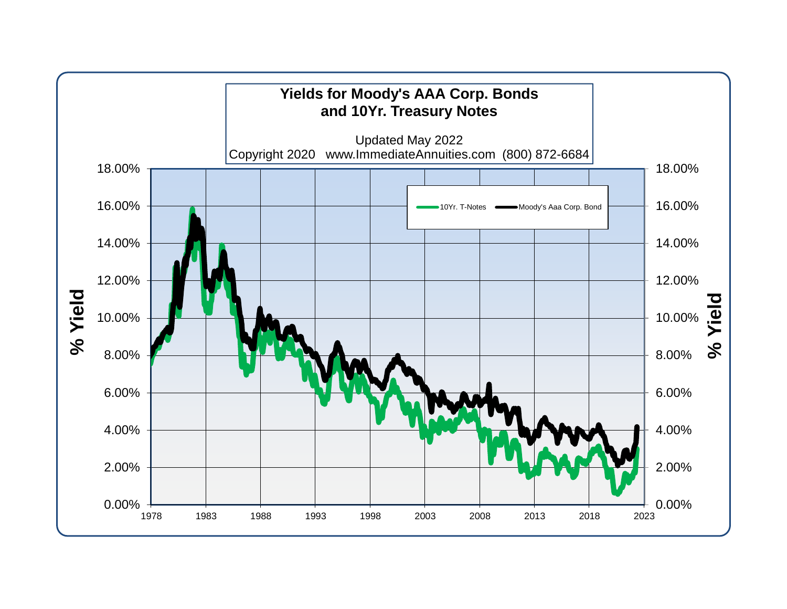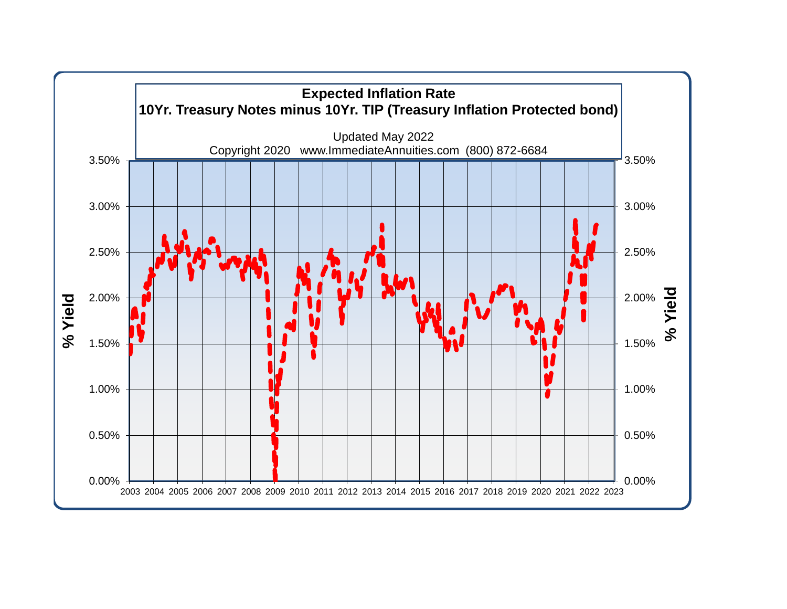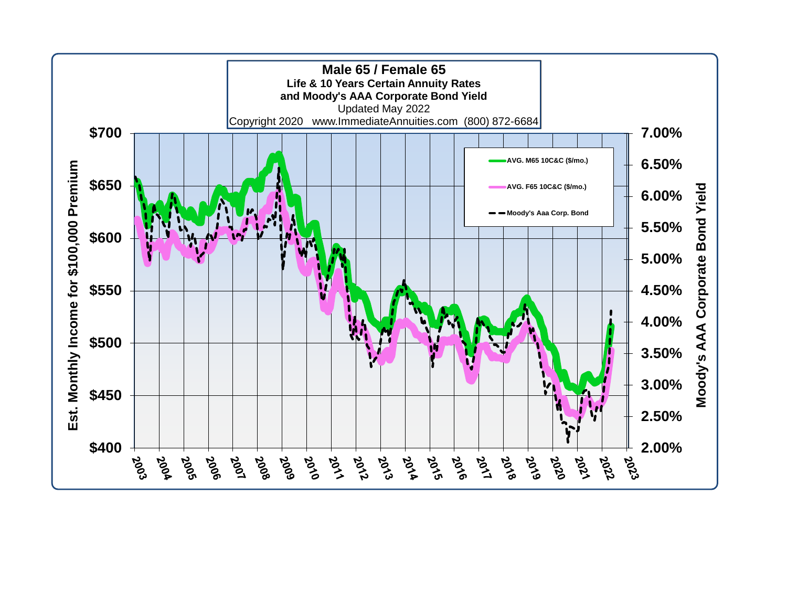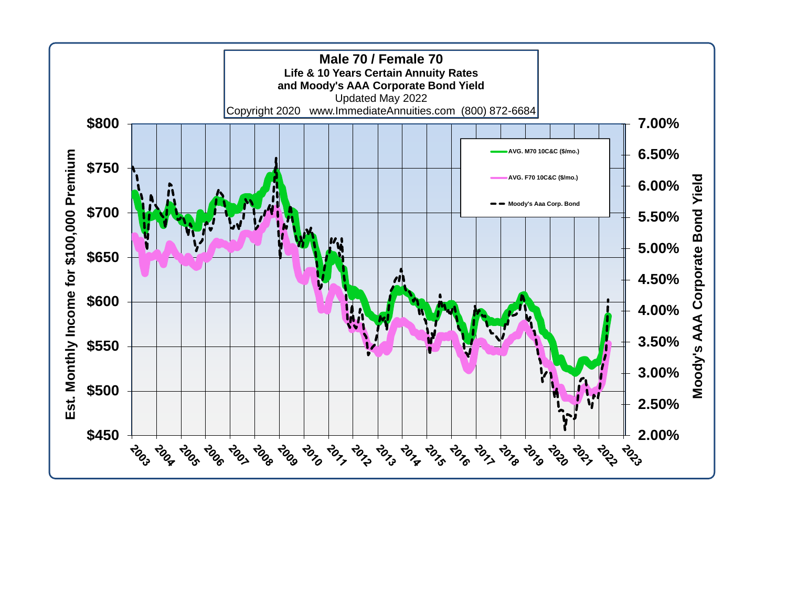